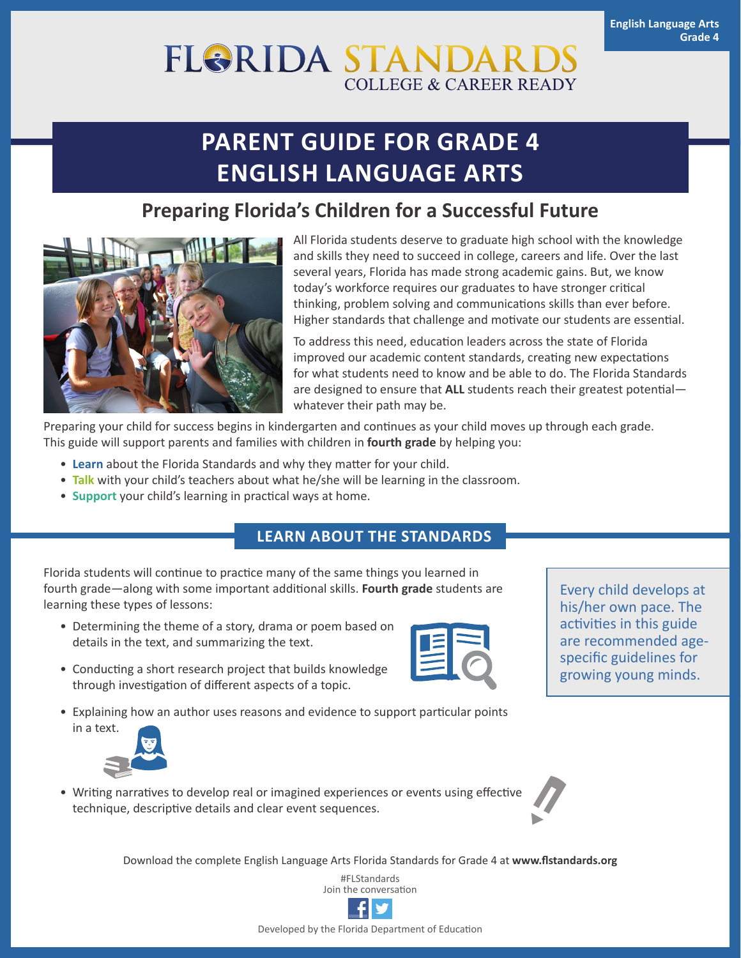# **FLORIDA STANDAI COLLEGE & CAREER READY**

# **PARENT GUIDE FOR GRADE 4 ENGLISH LANGUAGE ARTS**

## **Preparing Florida's Children for a Successful Future**



All Florida students deserve to graduate high school with the knowledge and skills they need to succeed in college, careers and life. Over the last several years, Florida has made strong academic gains. But, we know today's workforce requires our graduates to have stronger critical thinking, problem solving and communications skills than ever before. Higher standards that challenge and motivate our students are essential.

To address this need, education leaders across the state of Florida improved our academic content standards, creating new expectations for what students need to know and be able to do. The Florida Standards are designed to ensure that **ALL** students reach their greatest potential whatever their path may be.

Preparing your child for success begins in kindergarten and continues as your child moves up through each grade. This guide will support parents and families with children in **fourth grade** by helping you:

- **Learn** about the Florida Standards and why they matter for your child.
- **Talk** with your child's teachers about what he/she will be learning in the classroom.
- **Support** your child's learning in practical ways at home.

### **LEARN ABOUT THE STANDARDS**

Florida students will continue to practice many of the same things you learned in fourth grade—along with some important additional skills. **Fourth grade** students are learning these types of lessons:

• Determining the theme of a story, drama or poem based on details in the text, and summarizing the text.



• Explaining how an author uses reasons and evidence to support particular points



• Writing narratives to develop real or imagined experiences or events using effective technique, descriptive details and clear event sequences.

Download the complete English Language Arts Florida Standards for Grade 4 at **[www.flstandards.org](http://www.flstandards.org)**

#FLStandards Join the conversation



Every child develops at his/her own pace. The activities in this guide are recommended agespecific guidelines for growing young minds.



Developed by the Florida Department of Education